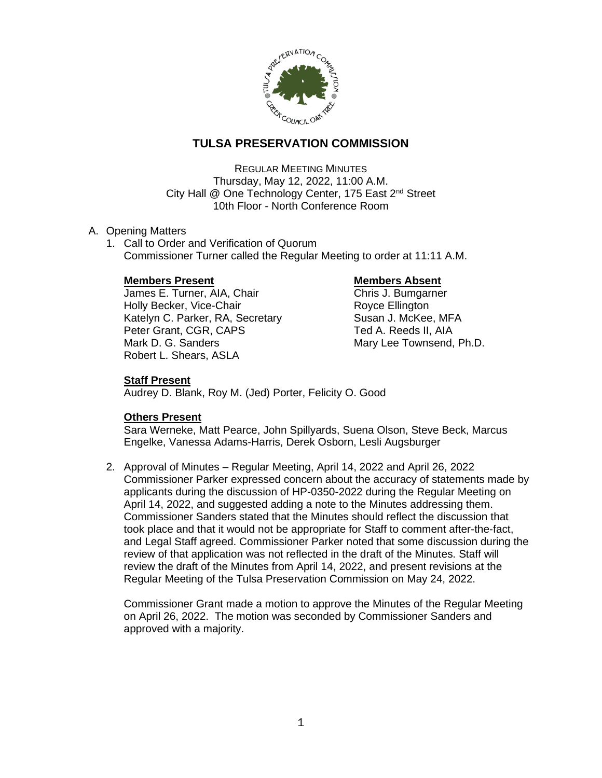

# **TULSA PRESERVATION COMMISSION**

REGULAR MEETING MINUTES Thursday, May 12, 2022, 11:00 A.M. City Hall @ One Technology Center, 175 East 2<sup>nd</sup> Street 10th Floor - North Conference Room

## A. Opening Matters

1. Call to Order and Verification of Quorum Commissioner Turner called the Regular Meeting to order at 11:11 A.M.

## **Members Present Communist Communist Present Communist Present Absent**

James E. Turner, AIA, Chair Chris J. Bumgarner Holly Becker, Vice-Chair **Royce Ellington** Katelyn C. Parker, RA, Secretary Susan J. McKee, MFA Peter Grant, CGR, CAPS Ted A. Reeds II, AIA Mark D. G. Sanders Mary Lee Townsend, Ph.D. Robert L. Shears, ASLA

## **Staff Present**

Audrey D. Blank, Roy M. (Jed) Porter, Felicity O. Good

## **Others Present**

Sara Werneke, Matt Pearce, John Spillyards, Suena Olson, Steve Beck, Marcus Engelke, Vanessa Adams-Harris, Derek Osborn, Lesli Augsburger

2. Approval of Minutes – Regular Meeting, April 14, 2022 and April 26, 2022 Commissioner Parker expressed concern about the accuracy of statements made by applicants during the discussion of HP-0350-2022 during the Regular Meeting on April 14, 2022, and suggested adding a note to the Minutes addressing them. Commissioner Sanders stated that the Minutes should reflect the discussion that took place and that it would not be appropriate for Staff to comment after-the-fact, and Legal Staff agreed. Commissioner Parker noted that some discussion during the review of that application was not reflected in the draft of the Minutes. Staff will review the draft of the Minutes from April 14, 2022, and present revisions at the Regular Meeting of the Tulsa Preservation Commission on May 24, 2022.

Commissioner Grant made a motion to approve the Minutes of the Regular Meeting on April 26, 2022. The motion was seconded by Commissioner Sanders and approved with a majority.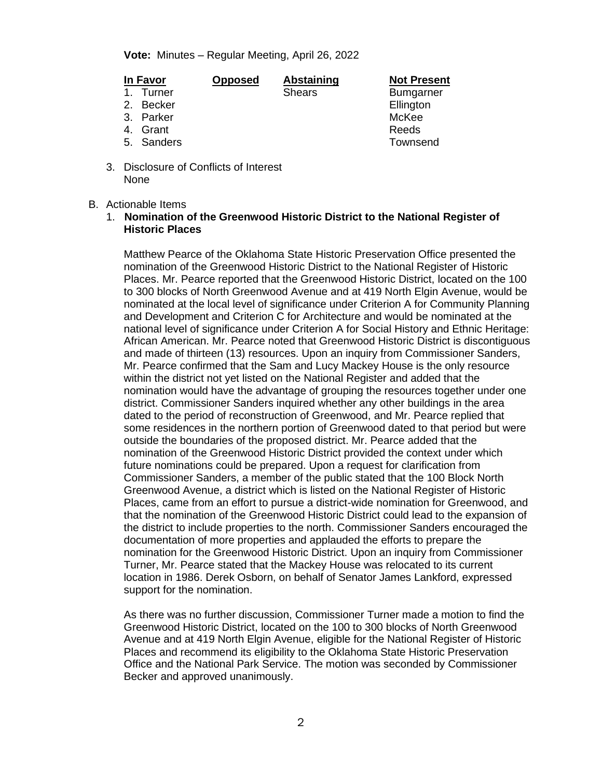**Vote:** Minutes – Regular Meeting, April 26, 2022

- 
- 4. Grant
- 
- 3. Disclosure of Conflicts of Interest None

### B. Actionable Items

1. **Nomination of the Greenwood Historic District to the National Register of Historic Places**

Matthew Pearce of the Oklahoma State Historic Preservation Office presented the nomination of the Greenwood Historic District to the National Register of Historic Places. Mr. Pearce reported that the Greenwood Historic District, located on the 100 to 300 blocks of North Greenwood Avenue and at 419 North Elgin Avenue, would be nominated at the local level of significance under Criterion A for Community Planning and Development and Criterion C for Architecture and would be nominated at the national level of significance under Criterion A for Social History and Ethnic Heritage: African American. Mr. Pearce noted that Greenwood Historic District is discontiguous and made of thirteen (13) resources. Upon an inquiry from Commissioner Sanders, Mr. Pearce confirmed that the Sam and Lucy Mackey House is the only resource within the district not yet listed on the National Register and added that the nomination would have the advantage of grouping the resources together under one district. Commissioner Sanders inquired whether any other buildings in the area dated to the period of reconstruction of Greenwood, and Mr. Pearce replied that some residences in the northern portion of Greenwood dated to that period but were outside the boundaries of the proposed district. Mr. Pearce added that the nomination of the Greenwood Historic District provided the context under which future nominations could be prepared. Upon a request for clarification from Commissioner Sanders, a member of the public stated that the 100 Block North Greenwood Avenue, a district which is listed on the National Register of Historic Places, came from an effort to pursue a district-wide nomination for Greenwood, and that the nomination of the Greenwood Historic District could lead to the expansion of the district to include properties to the north. Commissioner Sanders encouraged the documentation of more properties and applauded the efforts to prepare the nomination for the Greenwood Historic District. Upon an inquiry from Commissioner Turner, Mr. Pearce stated that the Mackey House was relocated to its current location in 1986. Derek Osborn, on behalf of Senator James Lankford, expressed support for the nomination.

As there was no further discussion, Commissioner Turner made a motion to find the Greenwood Historic District, located on the 100 to 300 blocks of North Greenwood Avenue and at 419 North Elgin Avenue, eligible for the National Register of Historic Places and recommend its eligibility to the Oklahoma State Historic Preservation Office and the National Park Service. The motion was seconded by Commissioner Becker and approved unanimously.

**In Favor Opposed Abstaining Not Present** 1. Turner **Shears** Shears Bumgarner 2. Becker **Ellington** 3. Parker Museum and the McKee Museum of the McKee Museum of the McKee McKee Museum of the McKee Museum of the<br>3. Grant Museum of the Museum of the McCee Museum of the Museum of the Museum of the Museum of the Museum of t 5. Sanders Townsend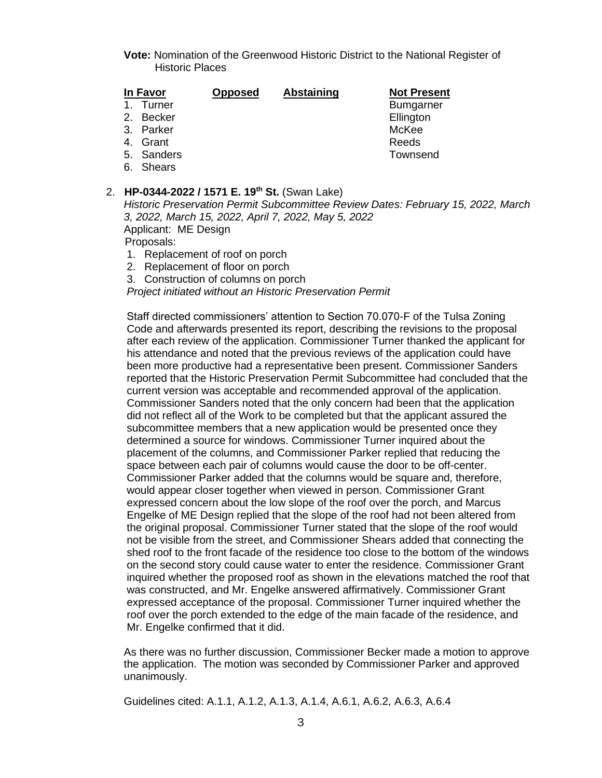**Vote:** Nomination of the Greenwood Historic District to the National Register of Historic Places

| In Favor     | <b>Opposed</b> | <b>Abstaining</b> | <b>Not Present</b> |
|--------------|----------------|-------------------|--------------------|
| 1. Turner    |                |                   | <b>Bumgarner</b>   |
| Becker<br>2. |                |                   | Ellington          |
| 3. Parker    |                |                   | McKee              |
| 4. Grant     |                |                   | Reeds              |
| 5. Sanders   |                |                   | Townsend           |

6. Shears

#### 2. **HP-0344-2022 / 1571 E. 19th St.** (Swan Lake)

*Historic Preservation Permit Subcommittee Review Dates: February 15, 2022, March 3, 2022, March 15, 2022, April 7, 2022, May 5, 2022* Applicant: ME Design Proposals:

- 1. Replacement of roof on porch
- 2. Replacement of floor on porch
- 3. Construction of columns on porch

*Project initiated without an Historic Preservation Permit*

Staff directed commissioners' attention to Section 70.070-F of the Tulsa Zoning Code and afterwards presented its report, describing the revisions to the proposal after each review of the application. Commissioner Turner thanked the applicant for his attendance and noted that the previous reviews of the application could have been more productive had a representative been present. Commissioner Sanders reported that the Historic Preservation Permit Subcommittee had concluded that the current version was acceptable and recommended approval of the application. Commissioner Sanders noted that the only concern had been that the application did not reflect all of the Work to be completed but that the applicant assured the subcommittee members that a new application would be presented once they determined a source for windows. Commissioner Turner inquired about the placement of the columns, and Commissioner Parker replied that reducing the space between each pair of columns would cause the door to be off-center. Commissioner Parker added that the columns would be square and, therefore, would appear closer together when viewed in person. Commissioner Grant expressed concern about the low slope of the roof over the porch, and Marcus Engelke of ME Design replied that the slope of the roof had not been altered from the original proposal. Commissioner Turner stated that the slope of the roof would not be visible from the street, and Commissioner Shears added that connecting the shed roof to the front facade of the residence too close to the bottom of the windows on the second story could cause water to enter the residence. Commissioner Grant inquired whether the proposed roof as shown in the elevations matched the roof that was constructed, and Mr. Engelke answered affirmatively. Commissioner Grant expressed acceptance of the proposal. Commissioner Turner inquired whether the roof over the porch extended to the edge of the main facade of the residence, and Mr. Engelke confirmed that it did.

As there was no further discussion, Commissioner Becker made a motion to approve the application. The motion was seconded by Commissioner Parker and approved unanimously.

Guidelines cited: A.1.1, A.1.2, A.1.3, A.1.4, A.6.1, A.6.2, A.6.3, A.6.4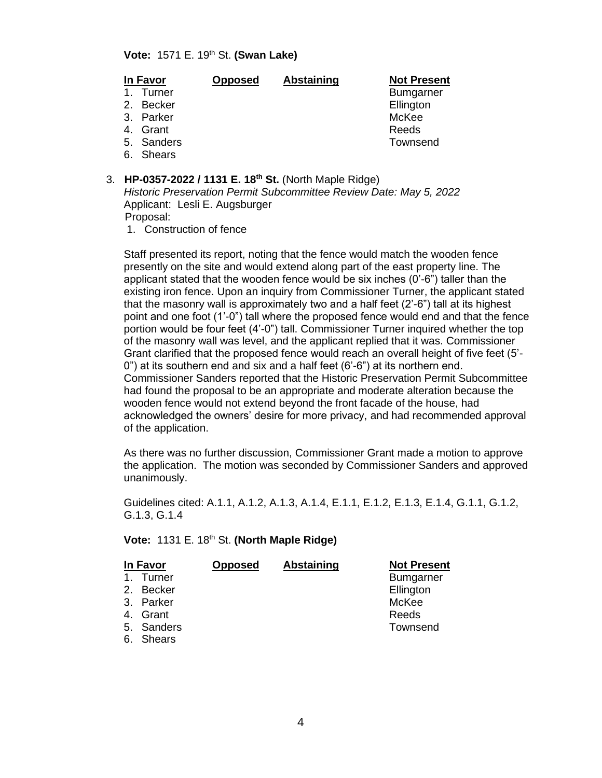#### **Vote:** 1571 E. 19th St. **(Swan Lake)**

| In Favor | <b>Opposed</b> | <b>Abstaining</b> | <b>Not Present</b> |
|----------|----------------|-------------------|--------------------|
|----------|----------------|-------------------|--------------------|

- 
- 
- 
- 
- 4. Grant
- 
- 6. Shears
- 3. **HP-0357-2022 / 1131 E. 18th St.** (North Maple Ridge)

*Historic Preservation Permit Subcommittee Review Date: May 5, 2022* Applicant: Lesli E. Augsburger Proposal:

1. Construction of fence

Staff presented its report, noting that the fence would match the wooden fence presently on the site and would extend along part of the east property line. The applicant stated that the wooden fence would be six inches (0'-6") taller than the existing iron fence. Upon an inquiry from Commissioner Turner, the applicant stated that the masonry wall is approximately two and a half feet (2'-6") tall at its highest point and one foot (1'-0") tall where the proposed fence would end and that the fence portion would be four feet (4'-0") tall. Commissioner Turner inquired whether the top of the masonry wall was level, and the applicant replied that it was. Commissioner Grant clarified that the proposed fence would reach an overall height of five feet (5'- 0") at its southern end and six and a half feet (6'-6") at its northern end. Commissioner Sanders reported that the Historic Preservation Permit Subcommittee had found the proposal to be an appropriate and moderate alteration because the wooden fence would not extend beyond the front facade of the house, had acknowledged the owners' desire for more privacy, and had recommended approval of the application.

As there was no further discussion, Commissioner Grant made a motion to approve the application. The motion was seconded by Commissioner Sanders and approved unanimously.

Guidelines cited: A.1.1, A.1.2, A.1.3, A.1.4, E.1.1, E.1.2, E.1.3, E.1.4, G.1.1, G.1.2, G.1.3, G.1.4

### **Vote: 1131 E. 18th St. (North Maple Ridge)**

|                | In Favor   | <b>Opposed</b> | <b>Abstaining</b> | <b>Not Present</b> |
|----------------|------------|----------------|-------------------|--------------------|
| $\mathbf{1}$ . | Turner     |                |                   | <b>Bumgarner</b>   |
|                | 2. Becker  |                |                   | Ellington          |
|                | 3. Parker  |                |                   | McKee              |
|                | 4. Grant   |                |                   | Reeds              |
|                | 5. Sanders |                |                   | Townsend           |
|                | 6. Shears  |                |                   |                    |

1. Turner Bumgarner 2. Becker **Ellington** 3. Parker McKee Music Contract of the McKee McKee McKee McKee McKee McKee McKee McCKee McCKee McCKee McCKee Mc<br>3. Grant McCanada McCanada McCanada McCanada McCanada McCanada McCanada McCanada McCanada McCanada McCanada Mc 5. Sanders Townsend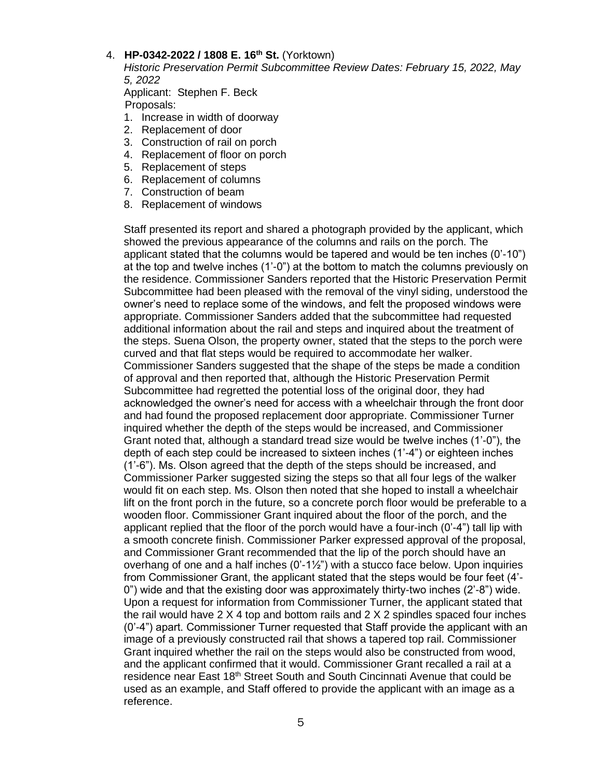## 4. **HP-0342-2022 / 1808 E. 16th St.** (Yorktown)

*Historic Preservation Permit Subcommittee Review Dates: February 15, 2022, May 5, 2022*

Applicant: Stephen F. Beck Proposals:

- 1. Increase in width of doorway
- 2. Replacement of door
- 3. Construction of rail on porch
- 4. Replacement of floor on porch
- 5. Replacement of steps
- 6. Replacement of columns
- 7. Construction of beam
- 8. Replacement of windows

Staff presented its report and shared a photograph provided by the applicant, which showed the previous appearance of the columns and rails on the porch. The applicant stated that the columns would be tapered and would be ten inches (0'-10") at the top and twelve inches (1'-0") at the bottom to match the columns previously on the residence. Commissioner Sanders reported that the Historic Preservation Permit Subcommittee had been pleased with the removal of the vinyl siding, understood the owner's need to replace some of the windows, and felt the proposed windows were appropriate. Commissioner Sanders added that the subcommittee had requested additional information about the rail and steps and inquired about the treatment of the steps. Suena Olson, the property owner, stated that the steps to the porch were curved and that flat steps would be required to accommodate her walker. Commissioner Sanders suggested that the shape of the steps be made a condition of approval and then reported that, although the Historic Preservation Permit Subcommittee had regretted the potential loss of the original door, they had acknowledged the owner's need for access with a wheelchair through the front door and had found the proposed replacement door appropriate. Commissioner Turner inquired whether the depth of the steps would be increased, and Commissioner Grant noted that, although a standard tread size would be twelve inches (1'-0"), the depth of each step could be increased to sixteen inches (1'-4") or eighteen inches (1'-6"). Ms. Olson agreed that the depth of the steps should be increased, and Commissioner Parker suggested sizing the steps so that all four legs of the walker would fit on each step. Ms. Olson then noted that she hoped to install a wheelchair lift on the front porch in the future, so a concrete porch floor would be preferable to a wooden floor. Commissioner Grant inquired about the floor of the porch, and the applicant replied that the floor of the porch would have a four-inch (0'-4") tall lip with a smooth concrete finish. Commissioner Parker expressed approval of the proposal, and Commissioner Grant recommended that the lip of the porch should have an overhang of one and a half inches  $(0.11/\gamma)$  with a stucco face below. Upon inquiries from Commissioner Grant, the applicant stated that the steps would be four feet (4'- 0") wide and that the existing door was approximately thirty-two inches (2'-8") wide. Upon a request for information from Commissioner Turner, the applicant stated that the rail would have  $2 \times 4$  top and bottom rails and  $2 \times 2$  spindles spaced four inches (0'-4") apart. Commissioner Turner requested that Staff provide the applicant with an image of a previously constructed rail that shows a tapered top rail. Commissioner Grant inquired whether the rail on the steps would also be constructed from wood, and the applicant confirmed that it would. Commissioner Grant recalled a rail at a residence near East 18<sup>th</sup> Street South and South Cincinnati Avenue that could be used as an example, and Staff offered to provide the applicant with an image as a reference.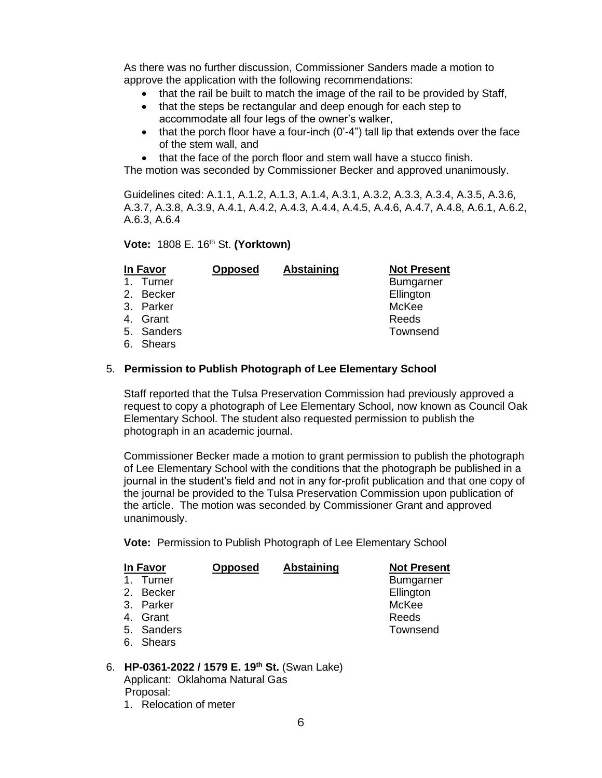As there was no further discussion, Commissioner Sanders made a motion to approve the application with the following recommendations:

- that the rail be built to match the image of the rail to be provided by Staff,
- that the steps be rectangular and deep enough for each step to accommodate all four legs of the owner's walker,
- $\bullet$  that the porch floor have a four-inch (0'-4") tall lip that extends over the face of the stem wall, and
- that the face of the porch floor and stem wall have a stucco finish.

The motion was seconded by Commissioner Becker and approved unanimously.

Guidelines cited: A.1.1, A.1.2, A.1.3, A.1.4, A.3.1, A.3.2, A.3.3, A.3.4, A.3.5, A.3.6, A.3.7, A.3.8, A.3.9, A.4.1, A.4.2, A.4.3, A.4.4, A.4.5, A.4.6, A.4.7, A.4.8, A.6.1, A.6.2, A.6.3, A.6.4

#### **Vote:** 1808 E. 16th St. **(Yorktown)**

|                | In Favor   | <b>Opposed</b> | Abstaining | <b>Not Present</b> |
|----------------|------------|----------------|------------|--------------------|
| $\mathbf{1}$ . | Turner     |                |            | <b>Bumgarner</b>   |
|                | 2. Becker  |                |            | Ellington          |
|                | 3. Parker  |                |            | McKee              |
|                | 4. Grant   |                |            | Reeds              |
|                | 5. Sanders |                |            | Townsend           |
|                | 6. Shears  |                |            |                    |

### 5. **Permission to Publish Photograph of Lee Elementary School**

Staff reported that the Tulsa Preservation Commission had previously approved a request to copy a photograph of Lee Elementary School, now known as Council Oak Elementary School. The student also requested permission to publish the photograph in an academic journal.

Commissioner Becker made a motion to grant permission to publish the photograph of Lee Elementary School with the conditions that the photograph be published in a journal in the student's field and not in any for-profit publication and that one copy of the journal be provided to the Tulsa Preservation Commission upon publication of the article. The motion was seconded by Commissioner Grant and approved unanimously.

**Vote:** Permission to Publish Photograph of Lee Elementary School

| In Favor   | <b>Opposed</b> | Abstaining | <b>Not Present</b> |
|------------|----------------|------------|--------------------|
| 1. Turner  |                |            | <b>Bumgarner</b>   |
| 2. Becker  |                |            | Ellington          |
| 3. Parker  |                |            | McKee              |
| 4. Grant   |                |            | Reeds              |
| 5. Sanders |                |            | Townsend           |
| 6. Shears  |                |            |                    |

#### 6. **HP-0361-2022 / 1579 E. 19th St.** (Swan Lake) Applicant: Oklahoma Natural Gas Proposal:

1. Relocation of meter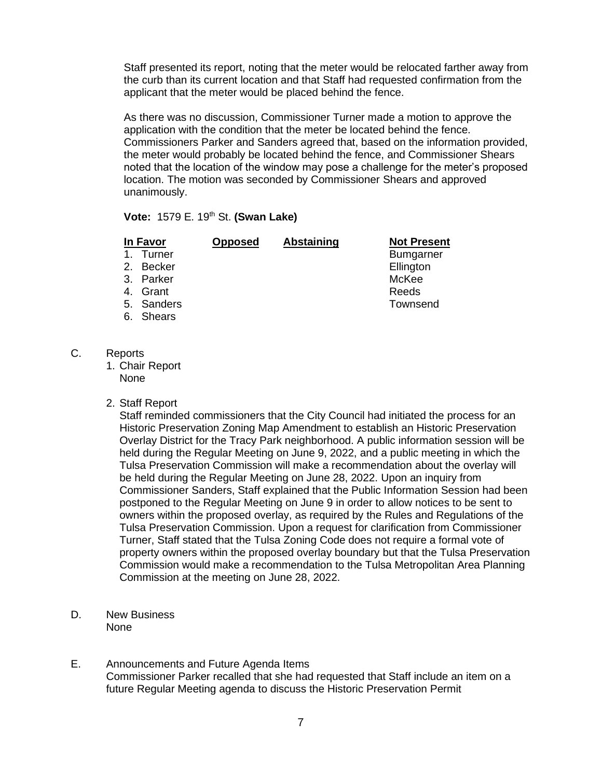Staff presented its report, noting that the meter would be relocated farther away from the curb than its current location and that Staff had requested confirmation from the applicant that the meter would be placed behind the fence.

As there was no discussion, Commissioner Turner made a motion to approve the application with the condition that the meter be located behind the fence. Commissioners Parker and Sanders agreed that, based on the information provided, the meter would probably be located behind the fence, and Commissioner Shears noted that the location of the window may pose a challenge for the meter's proposed location. The motion was seconded by Commissioner Shears and approved unanimously.

**Vote:** 1579 E. 19th St. **(Swan Lake)**

| In Favor     | <b>Opposed</b> | <b>Abstaining</b> | <b>Not Present</b> |
|--------------|----------------|-------------------|--------------------|
| Turner<br>1. |                |                   | <b>Bumgarner</b>   |
| 2. Becker    |                |                   | Ellington          |
| 3. Parker    |                |                   | McKee              |
| 4. Grant     |                |                   | Reeds              |
| 5. Sanders   |                |                   | Townsend           |
| 6. Shears    |                |                   |                    |
|              |                |                   |                    |

- C. Reports
	- 1. Chair Report None
	- 2. Staff Report

Staff reminded commissioners that the City Council had initiated the process for an Historic Preservation Zoning Map Amendment to establish an Historic Preservation Overlay District for the Tracy Park neighborhood. A public information session will be held during the Regular Meeting on June 9, 2022, and a public meeting in which the Tulsa Preservation Commission will make a recommendation about the overlay will be held during the Regular Meeting on June 28, 2022. Upon an inquiry from Commissioner Sanders, Staff explained that the Public Information Session had been postponed to the Regular Meeting on June 9 in order to allow notices to be sent to owners within the proposed overlay, as required by the Rules and Regulations of the Tulsa Preservation Commission. Upon a request for clarification from Commissioner Turner, Staff stated that the Tulsa Zoning Code does not require a formal vote of property owners within the proposed overlay boundary but that the Tulsa Preservation Commission would make a recommendation to the Tulsa Metropolitan Area Planning Commission at the meeting on June 28, 2022.

- D. New Business None
- E. Announcements and Future Agenda Items Commissioner Parker recalled that she had requested that Staff include an item on a future Regular Meeting agenda to discuss the Historic Preservation Permit